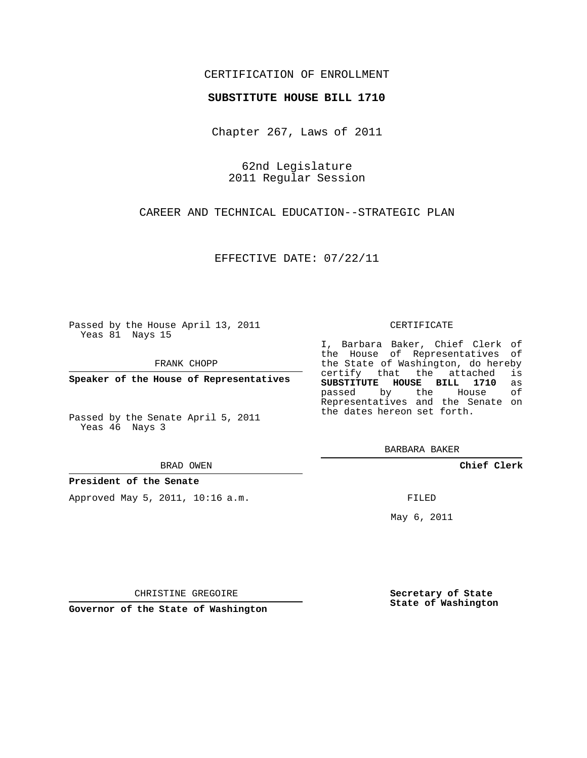## CERTIFICATION OF ENROLLMENT

#### **SUBSTITUTE HOUSE BILL 1710**

Chapter 267, Laws of 2011

62nd Legislature 2011 Regular Session

CAREER AND TECHNICAL EDUCATION--STRATEGIC PLAN

EFFECTIVE DATE: 07/22/11

Passed by the House April 13, 2011 Yeas 81 Nays 15

FRANK CHOPP

**Speaker of the House of Representatives**

Passed by the Senate April 5, 2011 Yeas 46 Nays 3

#### BRAD OWEN

#### **President of the Senate**

Approved May 5, 2011, 10:16 a.m.

#### CERTIFICATE

I, Barbara Baker, Chief Clerk of the House of Representatives of the State of Washington, do hereby<br>certify that the attached is certify that the attached **SUBSTITUTE HOUSE BILL 1710** as passed by the House of Representatives and the Senate on the dates hereon set forth.

BARBARA BAKER

**Chief Clerk**

FILED

May 6, 2011

**Secretary of State State of Washington**

CHRISTINE GREGOIRE

**Governor of the State of Washington**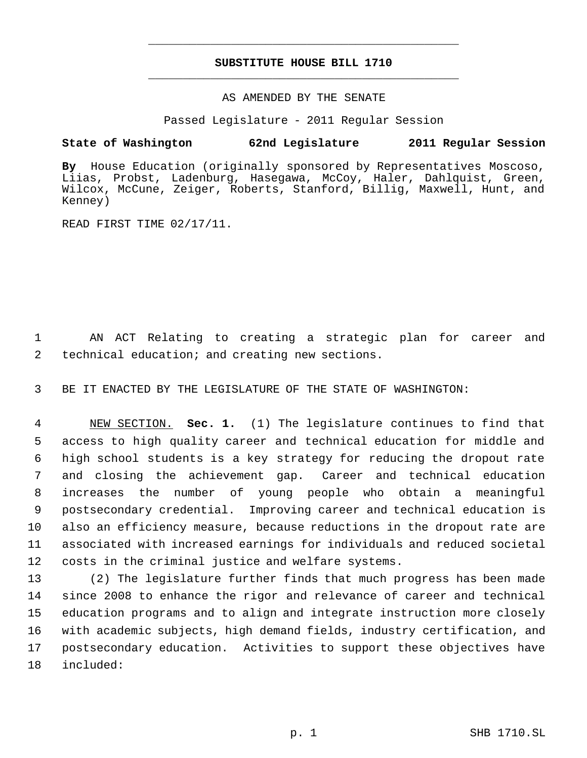# **SUBSTITUTE HOUSE BILL 1710** \_\_\_\_\_\_\_\_\_\_\_\_\_\_\_\_\_\_\_\_\_\_\_\_\_\_\_\_\_\_\_\_\_\_\_\_\_\_\_\_\_\_\_\_\_

\_\_\_\_\_\_\_\_\_\_\_\_\_\_\_\_\_\_\_\_\_\_\_\_\_\_\_\_\_\_\_\_\_\_\_\_\_\_\_\_\_\_\_\_\_

### AS AMENDED BY THE SENATE

Passed Legislature - 2011 Regular Session

# **State of Washington 62nd Legislature 2011 Regular Session**

**By** House Education (originally sponsored by Representatives Moscoso, Liias, Probst, Ladenburg, Hasegawa, McCoy, Haler, Dahlquist, Green, Wilcox, McCune, Zeiger, Roberts, Stanford, Billig, Maxwell, Hunt, and Kenney)

READ FIRST TIME 02/17/11.

 1 AN ACT Relating to creating a strategic plan for career and 2 technical education; and creating new sections.

3 BE IT ENACTED BY THE LEGISLATURE OF THE STATE OF WASHINGTON:

 NEW SECTION. **Sec. 1.** (1) The legislature continues to find that access to high quality career and technical education for middle and high school students is a key strategy for reducing the dropout rate and closing the achievement gap. Career and technical education increases the number of young people who obtain a meaningful postsecondary credential. Improving career and technical education is also an efficiency measure, because reductions in the dropout rate are associated with increased earnings for individuals and reduced societal costs in the criminal justice and welfare systems.

 (2) The legislature further finds that much progress has been made since 2008 to enhance the rigor and relevance of career and technical education programs and to align and integrate instruction more closely with academic subjects, high demand fields, industry certification, and postsecondary education. Activities to support these objectives have included: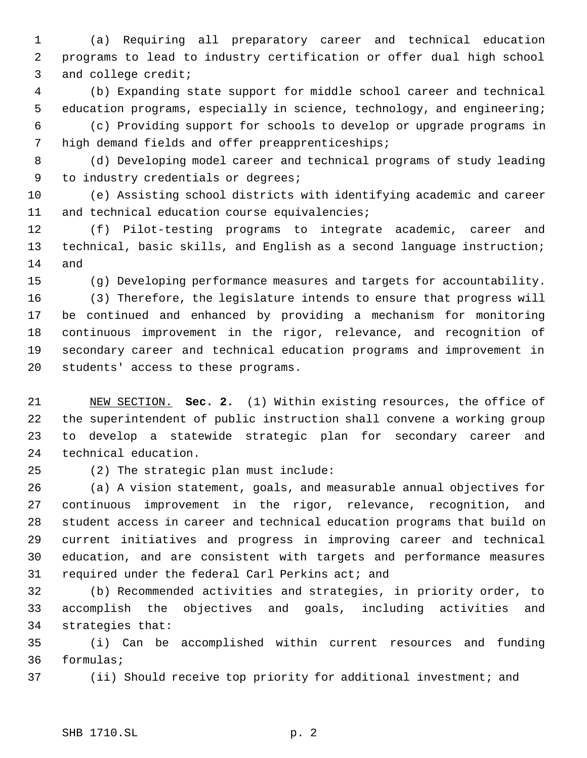(a) Requiring all preparatory career and technical education programs to lead to industry certification or offer dual high school and college credit;

 (b) Expanding state support for middle school career and technical education programs, especially in science, technology, and engineering;

 (c) Providing support for schools to develop or upgrade programs in high demand fields and offer preapprenticeships;

 (d) Developing model career and technical programs of study leading to industry credentials or degrees;

 (e) Assisting school districts with identifying academic and career 11 and technical education course equivalencies;

 (f) Pilot-testing programs to integrate academic, career and technical, basic skills, and English as a second language instruction; and

(g) Developing performance measures and targets for accountability.

 (3) Therefore, the legislature intends to ensure that progress will be continued and enhanced by providing a mechanism for monitoring continuous improvement in the rigor, relevance, and recognition of secondary career and technical education programs and improvement in students' access to these programs.

 NEW SECTION. **Sec. 2.** (1) Within existing resources, the office of the superintendent of public instruction shall convene a working group to develop a statewide strategic plan for secondary career and technical education.

(2) The strategic plan must include:

 (a) A vision statement, goals, and measurable annual objectives for continuous improvement in the rigor, relevance, recognition, and student access in career and technical education programs that build on current initiatives and progress in improving career and technical education, and are consistent with targets and performance measures required under the federal Carl Perkins act; and

 (b) Recommended activities and strategies, in priority order, to accomplish the objectives and goals, including activities and strategies that:

 (i) Can be accomplished within current resources and funding formulas;

(ii) Should receive top priority for additional investment; and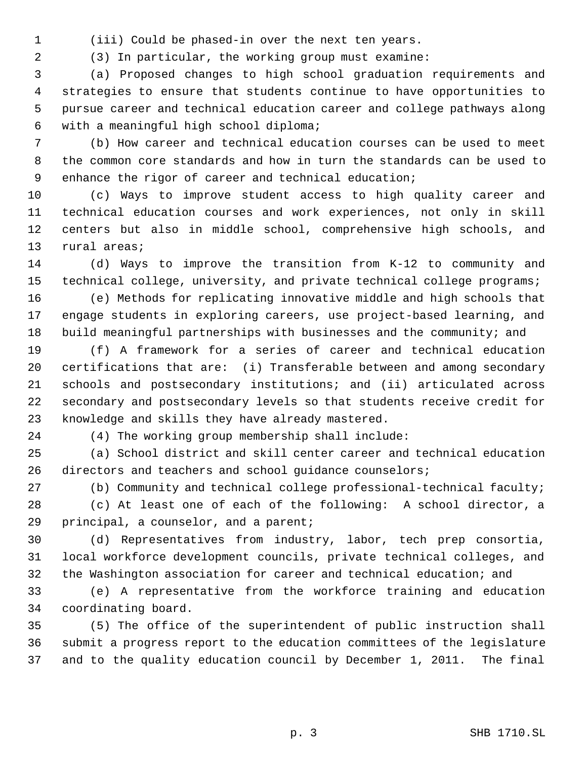(iii) Could be phased-in over the next ten years.

(3) In particular, the working group must examine:

 (a) Proposed changes to high school graduation requirements and strategies to ensure that students continue to have opportunities to pursue career and technical education career and college pathways along with a meaningful high school diploma;

 (b) How career and technical education courses can be used to meet the common core standards and how in turn the standards can be used to enhance the rigor of career and technical education;

 (c) Ways to improve student access to high quality career and technical education courses and work experiences, not only in skill centers but also in middle school, comprehensive high schools, and rural areas;

 (d) Ways to improve the transition from K-12 to community and technical college, university, and private technical college programs;

 (e) Methods for replicating innovative middle and high schools that engage students in exploring careers, use project-based learning, and build meaningful partnerships with businesses and the community; and

 (f) A framework for a series of career and technical education certifications that are: (i) Transferable between and among secondary schools and postsecondary institutions; and (ii) articulated across secondary and postsecondary levels so that students receive credit for knowledge and skills they have already mastered.

(4) The working group membership shall include:

 (a) School district and skill center career and technical education directors and teachers and school guidance counselors;

(b) Community and technical college professional-technical faculty;

 (c) At least one of each of the following: A school director, a principal, a counselor, and a parent;

 (d) Representatives from industry, labor, tech prep consortia, local workforce development councils, private technical colleges, and the Washington association for career and technical education; and

 (e) A representative from the workforce training and education coordinating board.

 (5) The office of the superintendent of public instruction shall submit a progress report to the education committees of the legislature and to the quality education council by December 1, 2011. The final